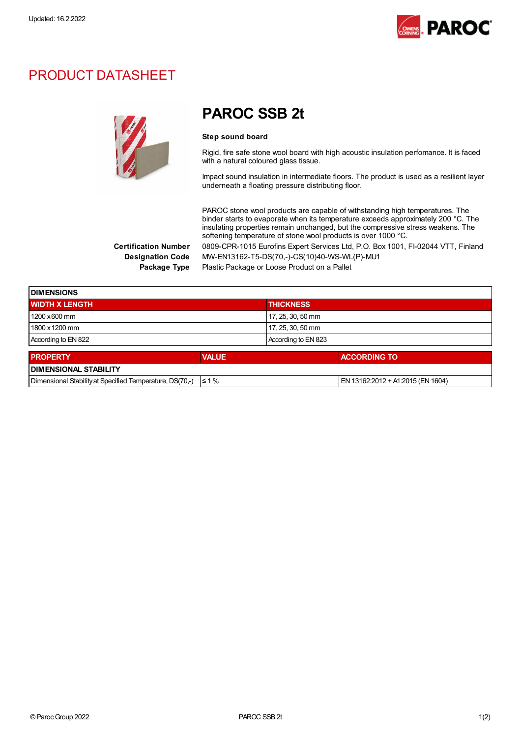

### PRODUCT DATASHEET



## PAROC SSB 2t

#### Step sound board

Rigid, fire safe stone wool board with high acoustic insulation perfomance. It is faced with a natural coloured glass tissue.

Impact sound insulation in intermediate floors. The product is used as a resilient layer underneath a floating pressure distributing floor.

PAROC stone wool products are capable of withstanding high temperatures. The binder starts to evaporate when its temperature exceeds approximately 200 °C. The insulating properties remain unchanged, but the compressive stress weakens. The softening temperature of stone wool products is over 1000 °C.

Certification Number 0809-CPR-1015 Eurofins Expert Services Ltd, P.O. Box 1001, FI-02044 VTT, Finland Designation Code MW-EN13162-T5-DS(70,-)-CS(10)40-WS-WL(P)-MU1 Package Type Plastic Package or Loose Product on a Pallet

| <b>DIMENSIONS</b>     |              |                     |                     |  |  |
|-----------------------|--------------|---------------------|---------------------|--|--|
| <b>WIDTH X LENGTH</b> |              | <b>THICKNESS</b>    |                     |  |  |
| 1200 x 600 mm         |              | 17, 25, 30, 50 mm   |                     |  |  |
| 1800 x 1200 mm        |              | 17, 25, 30, 50 mm   |                     |  |  |
| According to EN 822   |              | According to EN 823 |                     |  |  |
| <b>PROPERTY</b>       | <b>VALUE</b> |                     | <b>ACCORDING TO</b> |  |  |
|                       |              |                     |                     |  |  |

| <b>I DIMENSIONAL STABILITY</b>                                      |  |                                    |  |  |
|---------------------------------------------------------------------|--|------------------------------------|--|--|
| Dimensional Stability at Specified Temperature, DS(70.-) $\leq 1\%$ |  | IEN 13162:2012 + A1:2015 (EN 1604) |  |  |